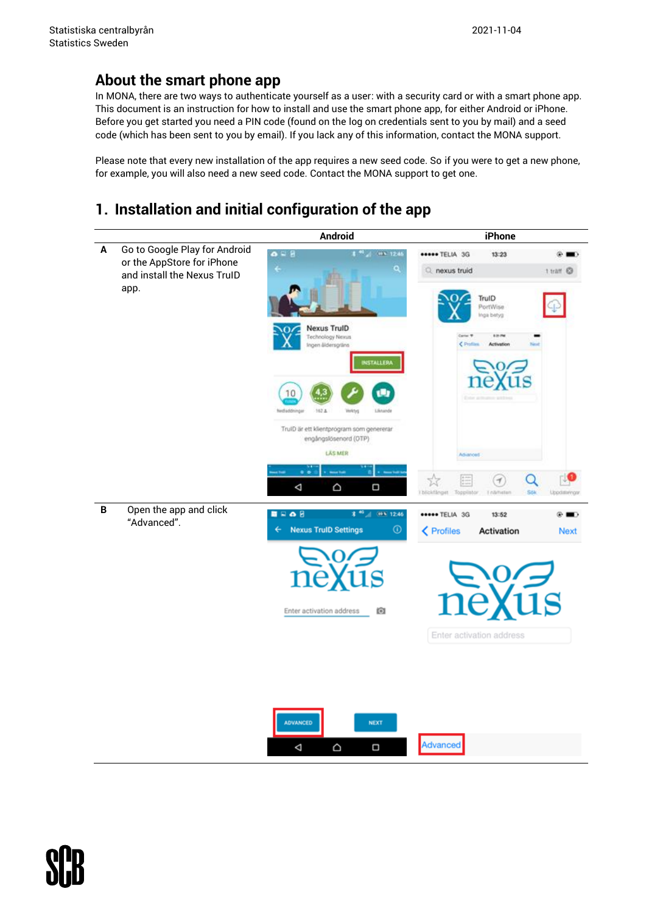## **About the smart phone app**

In MONA, there are two ways to authenticate yourself as a user: with a security card or with a smart phone app. This document is an instruction for how to install and use the smart phone app, for either Android or iPhone. Before you get started you need a PIN code (found on the log on credentials sent to you by mail) and a seed code (which has been sent to you by email). If you lack any of this information, contact the MONA support.

Please note that every new installation of the app requires a new seed code. So if you were to get a new phone, for example, you will also need a new seed code. Contact the MONA support to get one.

## **1. Installation and initial configuration of the app**



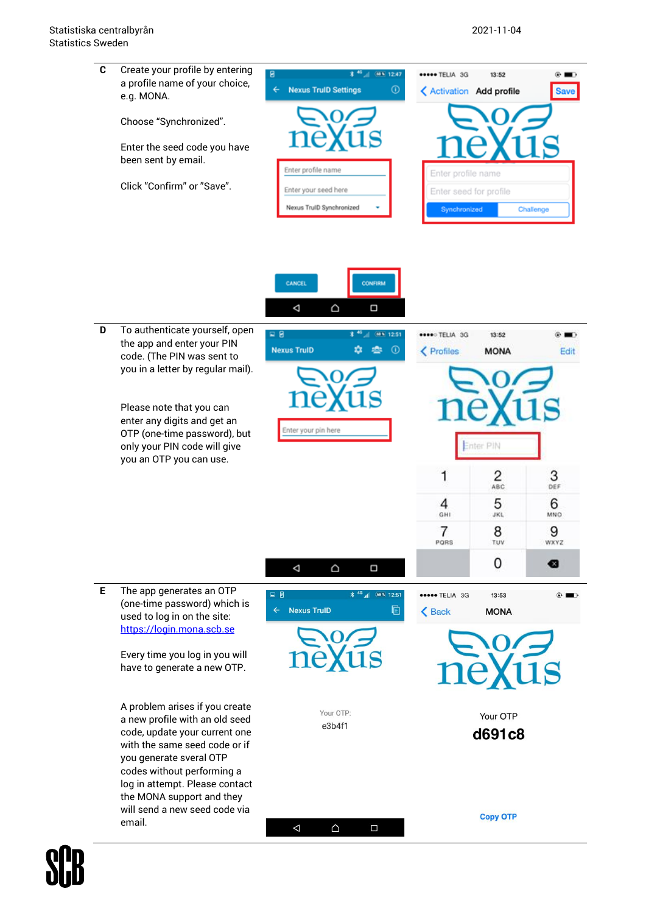